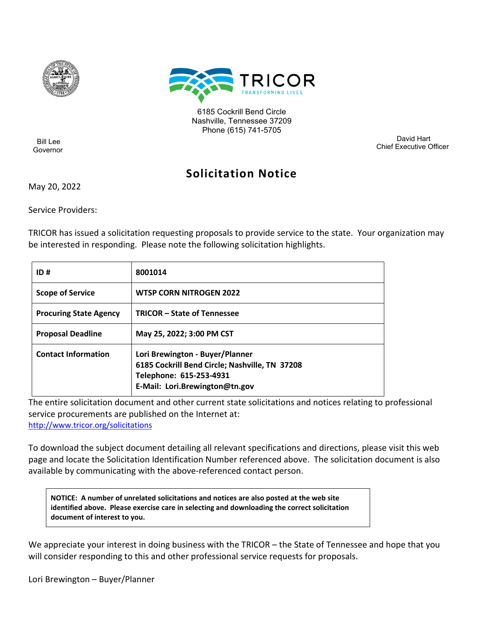



6185 Cockrill Bend Circle Nashville, Tennessee 37209 Phone (615) 741-5705

 Bill Lee Governor

 Bill Haslam David Hart Chief Executive Officer

# **Solicitation Notice**

May 20, 2022

Service Providers:

TRICOR has issued a solicitation requesting proposals to provide service to the state. Your organization may be interested in responding. Please note the following solicitation highlights.

| ID#                           | 8001014                                                                                                                                        |
|-------------------------------|------------------------------------------------------------------------------------------------------------------------------------------------|
| <b>Scope of Service</b>       | <b>WTSP CORN NITROGEN 2022</b>                                                                                                                 |
| <b>Procuring State Agency</b> | <b>TRICOR - State of Tennessee</b>                                                                                                             |
| <b>Proposal Deadline</b>      | May 25, 2022; 3:00 PM CST                                                                                                                      |
| <b>Contact Information</b>    | Lori Brewington - Buyer/Planner<br>6185 Cockrill Bend Circle; Nashville, TN 37208<br>Telephone: 615-253-4931<br>E-Mail: Lori.Brewington@tn.gov |

The entire solicitation document and other current state solicitations and notices relating to professional service procurements are published on the Internet at:

<http://www.tricor.org/solicitations>

To download the subject document detailing all relevant specifications and directions, please visit this web page and locate the Solicitation Identification Number referenced above. The solicitation document is also available by communicating with the above-referenced contact person.

**NOTICE: A number of unrelated solicitations and notices are also posted at the web site identified above. Please exercise care in selecting and downloading the correct solicitation document of interest to you.**

We appreciate your interest in doing business with the TRICOR – the State of Tennessee and hope that you will consider responding to this and other professional service requests for proposals.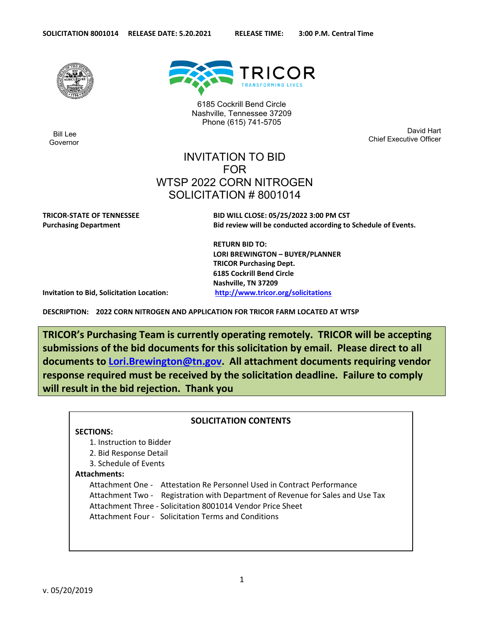

 Bill Lee Governor



6185 Cockrill Bend Circle Nashville, Tennessee 37209 Phone (615) 741-5705

 Bill Haslam David Hart Chief Executive Officer

## INVITATION TO BID FOR WTSP 2022 CORN NITROGEN SOLICITATION # 8001014

**TRICOR-STATE OF TENNESSEE BID WILL CLOSE: 05/25/2022 3:00 PM CST Purchasing Department Bid review will be conducted according to Schedule of Events.** 

> **RETURN BID TO: LORI BREWINGTON – BUYER/PLANNER TRICOR Purchasing Dept. 6185 Cockrill Bend Circle Nashville, TN 37209**

**Invitation to Bid, Solicitation Location: <http://www.tricor.org/solicitations>**

**DESCRIPTION: 2022 CORN NITROGEN AND APPLICATION FOR TRICOR FARM LOCATED AT WTSP** 

**TRICOR's Purchasing Team is currently operating remotely. TRICOR will be accepting submissions of the bid documents for this solicitation by email. Please direct to all documents to [Lori.Brewington@tn.gov.](mailto:Lori.Brewington@tn.gov) All attachment documents requiring vendor response required must be received by the solicitation deadline. Failure to comply will result in the bid rejection. Thank you**

## **SOLICITATION CONTENTS SECTIONS:** 1. Instruction to Bidder 2. Bid Response Detail 3. Schedule of Events **Attachments:** Attachment One - Attestation Re Personnel Used in Contract Performance Attachment Two - Registration with Department of Revenue for Sales and Use Tax Attachment Three - Solicitation 8001014 Vendor Price Sheet Attachment Four - Solicitation Terms and Conditions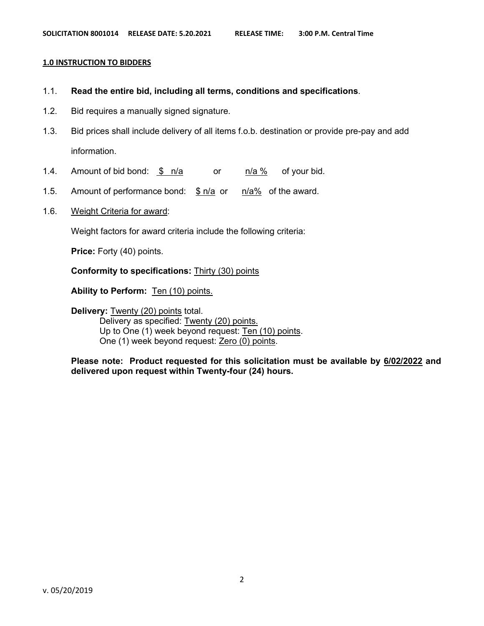#### **1.0 INSTRUCTION TO BIDDERS**

- 1.1. **Read the entire bid, including all terms, conditions and specifications**.
- 1.2. Bid requires a manually signed signature.
- 1.3. Bid prices shall include delivery of all items f.o.b. destination or provide pre-pay and add information.
- 1.4. Amount of bid bond: \$ n/a or n/a % of your bid.
- 1.5. Amount of performance bond:  $\frac{\$ n}{a}$  or  $\frac{n}{a}\%$  of the award.
- 1.6. Weight Criteria for award:

Weight factors for award criteria include the following criteria:

**Price:** Forty (40) points.

#### **Conformity to specifications:** Thirty (30) points

Ability to Perform: **Ten (10) points.** 

**Delivery: Twenty (20) points total.** Delivery as specified: Twenty (20) points. Up to One (1) week beyond request: Ten (10) points. One (1) week beyond request: Zero (0) points.

**Please note: Product requested for this solicitation must be available by 6/02/2022 and delivered upon request within Twenty-four (24) hours.**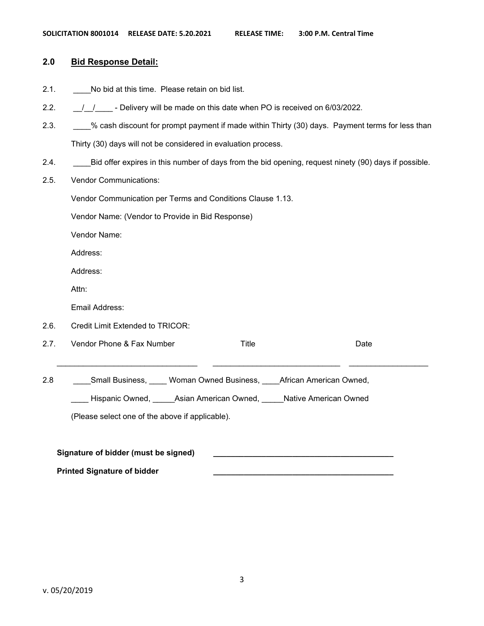| 2.0  | <b>Bid Response Detail:</b>                                                                          |
|------|------------------------------------------------------------------------------------------------------|
| 2.1. | No bid at this time. Please retain on bid list.                                                      |
| 2.2. | $\frac{1}{1}$ $\frac{1}{1}$ - Delivery will be made on this date when PO is received on 6/03/2022.   |
| 2.3. | % cash discount for prompt payment if made within Thirty (30) days. Payment terms for less than      |
|      | Thirty (30) days will not be considered in evaluation process.                                       |
| 2.4. | Bid offer expires in this number of days from the bid opening, request ninety (90) days if possible. |
| 2.5. | <b>Vendor Communications:</b>                                                                        |
|      | Vendor Communication per Terms and Conditions Clause 1.13.                                           |
|      | Vendor Name: (Vendor to Provide in Bid Response)                                                     |
|      | Vendor Name:                                                                                         |
|      | Address:                                                                                             |
|      | Address:                                                                                             |
|      | Attn:                                                                                                |
|      | Email Address:                                                                                       |
| 2.6. | Credit Limit Extended to TRICOR:                                                                     |
| 2.7. | Vendor Phone & Fax Number<br><b>Title</b><br>Date                                                    |
| 2.8  | Small Business, Woman Owned Business, African American Owned,                                        |
|      | Hispanic Owned, Asian American Owned, Native American Owned                                          |
|      | (Please select one of the above if applicable).                                                      |
|      |                                                                                                      |
|      | Signature of bidder (must be signed)                                                                 |

**Printed Signature of bidder \_\_\_\_\_\_\_\_\_\_\_\_\_\_\_\_\_\_\_\_\_\_\_\_\_\_\_\_\_\_\_\_\_\_\_\_\_\_\_\_\_**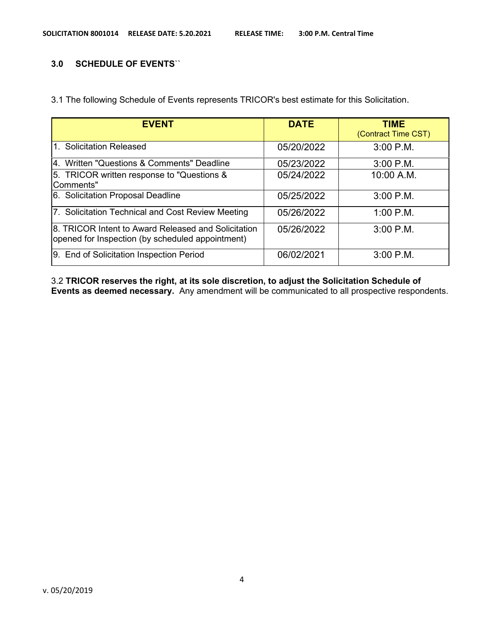## **3.0 SCHEDULE OF EVENTS**``

3.1 The following Schedule of Events represents TRICOR's best estimate for this Solicitation.

| <b>EVENT</b>                                                                                            | <b>DATE</b> | <b>TIME</b><br>(Contract Time CST) |
|---------------------------------------------------------------------------------------------------------|-------------|------------------------------------|
| 1. Solicitation Released                                                                                | 05/20/2022  | $3:00$ P.M.                        |
| 4. Written "Questions & Comments" Deadline                                                              | 05/23/2022  | $3:00$ P.M.                        |
| 5. TRICOR written response to "Questions &<br>Comments"                                                 | 05/24/2022  | 10:00 A.M.                         |
| 6. Solicitation Proposal Deadline                                                                       | 05/25/2022  | $3:00$ P.M.                        |
| 7. Solicitation Technical and Cost Review Meeting                                                       | 05/26/2022  | $1:00$ P.M.                        |
| 8. TRICOR Intent to Award Released and Solicitation<br>opened for Inspection (by scheduled appointment) | 05/26/2022  | 3:00 P.M.                          |
| 9. End of Solicitation Inspection Period                                                                | 06/02/2021  | $3:00$ P.M.                        |

3.2 **TRICOR reserves the right, at its sole discretion, to adjust the Solicitation Schedule of Events as deemed necessary.** Any amendment will be communicated to all prospective respondents.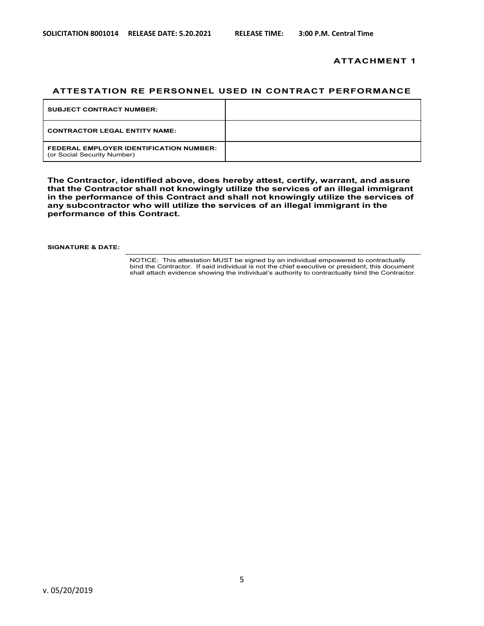#### **ATTACHMENT 1**

#### **ATTESTATION RE PERSONNEL USED IN CONTRACT PERFORMANCE**

| <b>SUBJECT CONTRACT NUMBER:</b>                                               |  |
|-------------------------------------------------------------------------------|--|
| <b>CONTRACTOR LEGAL ENTITY NAME:</b>                                          |  |
| <b>FEDERAL EMPLOYER IDENTIFICATION NUMBER:</b><br>(or Social Security Number) |  |

**The Contractor, identified above, does hereby attest, certify, warrant, and assure that the Contractor shall not knowingly utilize the services of an illegal immigrant in the performance of this Contract and shall not knowingly utilize the services of any subcontractor who will utilize the services of an illegal immigrant in the performance of this Contract.**

**SIGNATURE & DATE:**

NOTICE: This attestation MUST be signed by an individual empowered to contractually bind the Contractor. If said individual is not the chief executive or president, this document shall attach evidence showing the individual's authority to contractually bind the Contractor.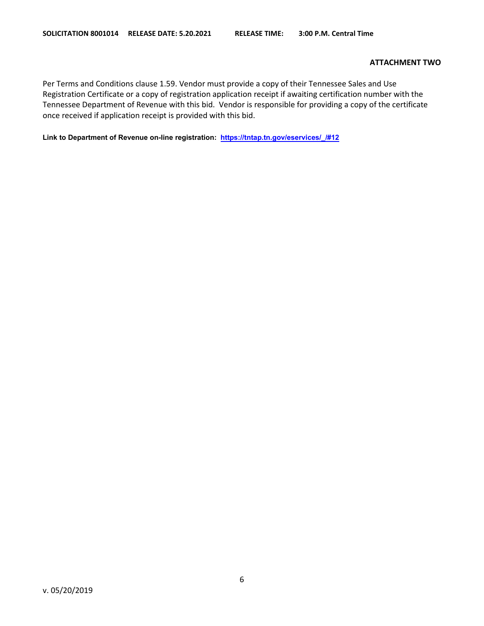#### **ATTACHMENT TWO**

Per Terms and Conditions clause 1.59. Vendor must provide a copy of their Tennessee Sales and Use Registration Certificate or a copy of registration application receipt if awaiting certification number with the Tennessee Department of Revenue with this bid. Vendor is responsible for providing a copy of the certificate once received if application receipt is provided with this bid.

**Link to Department of Revenue on-line registration: [https://tntap.tn.gov/eservices/\\_/#12](https://tntap.tn.gov/eservices/_/#12)**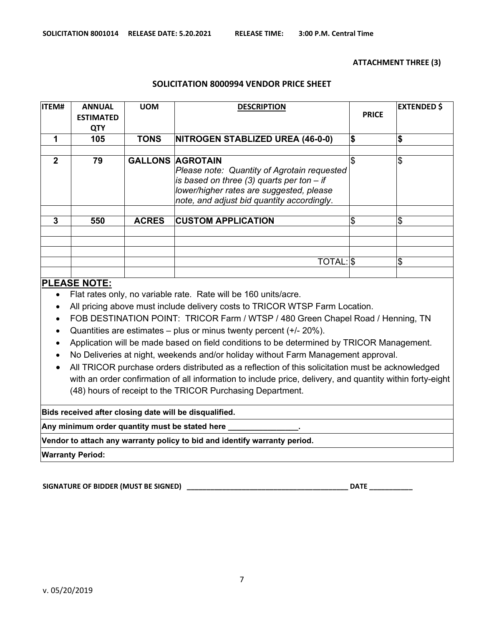#### **ATTACHMENT THREE (3)**

#### **SOLICITATION 8000994 VENDOR PRICE SHEET**

| <b>ITEM#</b> | <b>ANNUAL</b><br><b>ESTIMATED</b><br><b>QTY</b> | <b>UOM</b>   | <b>DESCRIPTION</b>                                                                                                                                                                                              | <b>PRICE</b> | <b>EXTENDED \$</b> |
|--------------|-------------------------------------------------|--------------|-----------------------------------------------------------------------------------------------------------------------------------------------------------------------------------------------------------------|--------------|--------------------|
|              | 105                                             | <b>TONS</b>  | NITROGEN STABLIZED UREA (46-0-0)                                                                                                                                                                                | \$           | \$                 |
| $\mathbf 2$  | 79                                              |              | <b>GALLONS AGROTAIN</b><br>Please note: Quantity of Agrotain requested<br>is based on three (3) quarts per ton $-$ if<br>lower/higher rates are suggested, please<br>note, and adjust bid quantity accordingly. | \$           | \$                 |
| 3            | 550                                             | <b>ACRES</b> | <b>CUSTOM APPLICATION</b>                                                                                                                                                                                       | \$           | \$                 |
|              |                                                 |              | TOTAL: \$                                                                                                                                                                                                       |              | \$                 |

## **PLEASE NOTE:**

- Flat rates only, no variable rate. Rate will be 160 units/acre.
- All pricing above must include delivery costs to TRICOR WTSP Farm Location.
- FOB DESTINATION POINT: TRICOR Farm / WTSP / 480 Green Chapel Road / Henning, TN
- Quantities are estimates plus or minus twenty percent  $(+/- 20\%)$ .
- Application will be made based on field conditions to be determined by TRICOR Management.
- No Deliveries at night, weekends and/or holiday without Farm Management approval.
- All TRICOR purchase orders distributed as a reflection of this solicitation must be acknowledged with an order confirmation of all information to include price, delivery, and quantity within forty-eight (48) hours of receipt to the TRICOR Purchasing Department.

**Bids received after closing date will be disqualified.** 

**Any minimum order quantity must be stated here \_\_\_\_\_\_\_\_\_\_\_\_\_\_\_\_.**

**Vendor to attach any warranty policy to bid and identify warranty period.**

**Warranty Period:** 

**SIGNATURE OF BIDDER (MUST BE SIGNED) \_\_\_\_\_\_\_\_\_\_\_\_\_\_\_\_\_\_\_\_\_\_\_\_\_\_\_\_\_\_\_\_\_\_\_\_\_\_\_\_\_ DATE \_\_\_\_\_\_\_\_\_\_\_**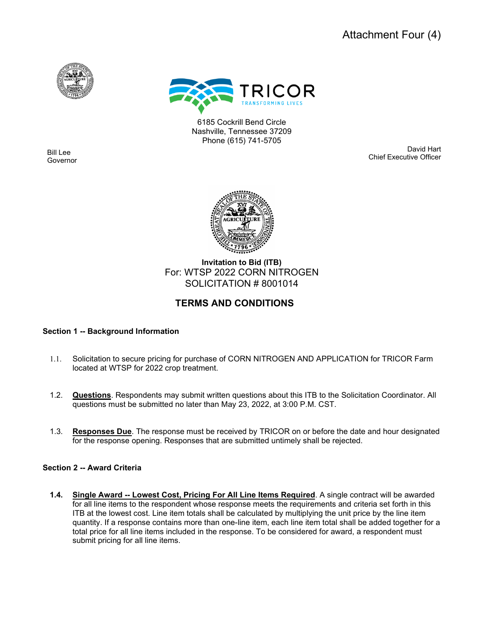



6185 Cockrill Bend Circle Nashville, Tennessee 37209 Phone (615) 741-5705

ľ Bill Lee Governor

 Bill Haslam David Hart Chief Executive Officer



**Invitation to Bid (ITB)** For: WTSP 2022 CORN NITROGEN SOLICITATION # 8001014

## **TERMS AND CONDITIONS**

## **Section 1 -- Background Information**

- 1.1. Solicitation to secure pricing for purchase of CORN NITROGEN AND APPLICATION for TRICOR Farm located at WTSP for 2022 crop treatment.
- 1.2. **Questions**. Respondents may submit written questions about this ITB to the Solicitation Coordinator. All questions must be submitted no later than May 23, 2022, at 3:00 P.M. CST.
- 1.3. **Responses Due**. The response must be received by TRICOR on or before the date and hour designated for the response opening. Responses that are submitted untimely shall be rejected.

#### **Section 2 -- Award Criteria**

**1.4. Single Award -- Lowest Cost, Pricing For All Line Items Required**. A single contract will be awarded for all line items to the respondent whose response meets the requirements and criteria set forth in this ITB at the lowest cost. Line item totals shall be calculated by multiplying the unit price by the line item quantity. If a response contains more than one-line item, each line item total shall be added together for a total price for all line items included in the response. To be considered for award, a respondent must submit pricing for all line items.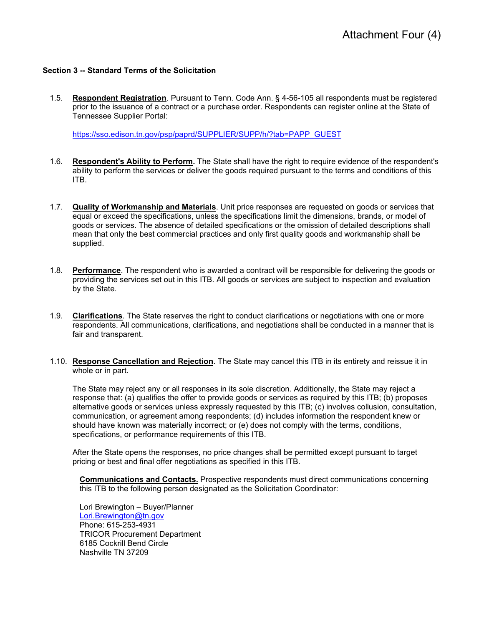#### **Section 3 -- Standard Terms of the Solicitation**

1.5. **Respondent Registration**. Pursuant to Tenn. Code Ann. § 4-56-105 all respondents must be registered prior to the issuance of a contract or a purchase order. Respondents can register online at the State of Tennessee Supplier Portal:

[https://sso.edison.tn.gov/psp/paprd/SUPPLIER/SUPP/h/?tab=PAPP\\_GUEST](https://sso.edison.tn.gov/psp/paprd/SUPPLIER/SUPP/h/?tab=PAPP_GUEST) 

- 1.6. **Respondent's Ability to Perform.** The State shall have the right to require evidence of the respondent's ability to perform the services or deliver the goods required pursuant to the terms and conditions of this ITB.
- 1.7. **Quality of Workmanship and Materials**. Unit price responses are requested on goods or services that equal or exceed the specifications, unless the specifications limit the dimensions, brands, or model of goods or services. The absence of detailed specifications or the omission of detailed descriptions shall mean that only the best commercial practices and only first quality goods and workmanship shall be supplied.
- 1.8. **Performance**. The respondent who is awarded a contract will be responsible for delivering the goods or providing the services set out in this ITB. All goods or services are subject to inspection and evaluation by the State.
- 1.9. **Clarifications**. The State reserves the right to conduct clarifications or negotiations with one or more respondents. All communications, clarifications, and negotiations shall be conducted in a manner that is fair and transparent.
- 1.10. **Response Cancellation and Rejection**. The State may cancel this ITB in its entirety and reissue it in whole or in part.

The State may reject any or all responses in its sole discretion. Additionally, the State may reject a response that: (a) qualifies the offer to provide goods or services as required by this ITB; (b) proposes alternative goods or services unless expressly requested by this ITB; (c) involves collusion, consultation, communication, or agreement among respondents; (d) includes information the respondent knew or should have known was materially incorrect; or (e) does not comply with the terms, conditions, specifications, or performance requirements of this ITB.

After the State opens the responses, no price changes shall be permitted except pursuant to target pricing or best and final offer negotiations as specified in this ITB.

**Communications and Contacts.** Prospective respondents must direct communications concerning this ITB to the following person designated as the Solicitation Coordinator:

Lori Brewington – Buyer/Planner [Lori.Brewington@tn.gov](mailto:Lori.Brewington@tn.gov) Phone: 615-253-4931 TRICOR Procurement Department 6185 Cockrill Bend Circle Nashville TN 37209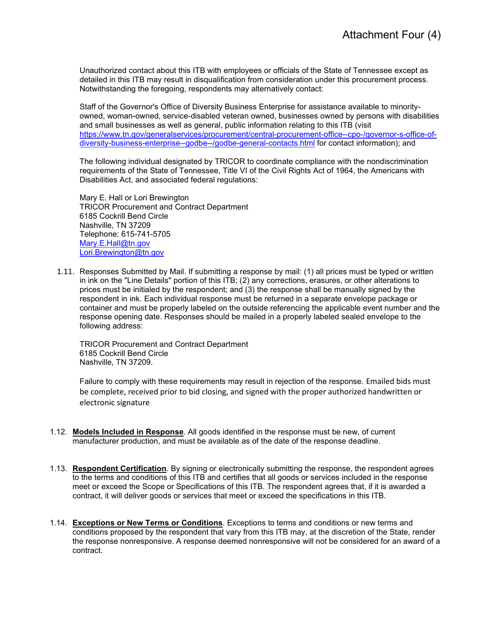Unauthorized contact about this ITB with employees or officials of the State of Tennessee except as detailed in this ITB may result in disqualification from consideration under this procurement process. Notwithstanding the foregoing, respondents may alternatively contact:

Staff of the Governor's Office of Diversity Business Enterprise for assistance available to minorityowned, woman-owned, service-disabled veteran owned, businesses owned by persons with disabilities and small businesses as well as general, public information relating to this ITB (visit [https://www.tn.gov/generalservices/procurement/central-procurement-office--cpo-/governor-s-office-of](https://www.tn.gov/generalservices/procurement/central-procurement-office--cpo-/governor-s-office-of-diversity-business-enterprise--godbe--/godbe-general-contacts.html)[diversity-business-enterprise--godbe--/godbe-general-contacts.html](https://www.tn.gov/generalservices/procurement/central-procurement-office--cpo-/governor-s-office-of-diversity-business-enterprise--godbe--/godbe-general-contacts.html) for contact information); and

The following individual designated by TRICOR to coordinate compliance with the nondiscrimination requirements of the State of Tennessee, Title VI of the Civil Rights Act of 1964, the Americans with Disabilities Act, and associated federal regulations:

Mary E. Hall or Lori Brewington TRICOR Procurement and Contract Department 6185 Cockrill Bend Circle Nashville, TN 37209 Telephone: 615-741-5705 [Mary.E.Hall@tn.gov](mailto:Mary.E.Hall@tn.gov) [Lori.Brewington@tn.gov](mailto:Lori.Brewington@tn.gov)

1.11. Responses Submitted by Mail. If submitting a response by mail: (1) all prices must be typed or written in ink on the "Line Details" portion of this ITB; (2) any corrections, erasures, or other alterations to prices must be initialed by the respondent; and (3) the response shall be manually signed by the respondent in ink. Each individual response must be returned in a separate envelope package or container and must be properly labeled on the outside referencing the applicable event number and the response opening date. Responses should be mailed in a properly labeled sealed envelope to the following address:

TRICOR Procurement and Contract Department 6185 Cockrill Bend Circle Nashville, TN 37209.

Failure to comply with these requirements may result in rejection of the response. Emailed bids must be complete, received prior to bid closing, and signed with the proper authorized handwritten or electronic signature

- 1.12. **Models Included in Response**. All goods identified in the response must be new, of current manufacturer production, and must be available as of the date of the response deadline.
- 1.13. **Respondent Certification**. By signing or electronically submitting the response, the respondent agrees to the terms and conditions of this ITB and certifies that all goods or services included in the response meet or exceed the Scope or Specifications of this ITB. The respondent agrees that, if it is awarded a contract, it will deliver goods or services that meet or exceed the specifications in this ITB.
- 1.14. **Exceptions or New Terms or Conditions**. Exceptions to terms and conditions or new terms and conditions proposed by the respondent that vary from this ITB may, at the discretion of the State, render the response nonresponsive. A response deemed nonresponsive will not be considered for an award of a contract.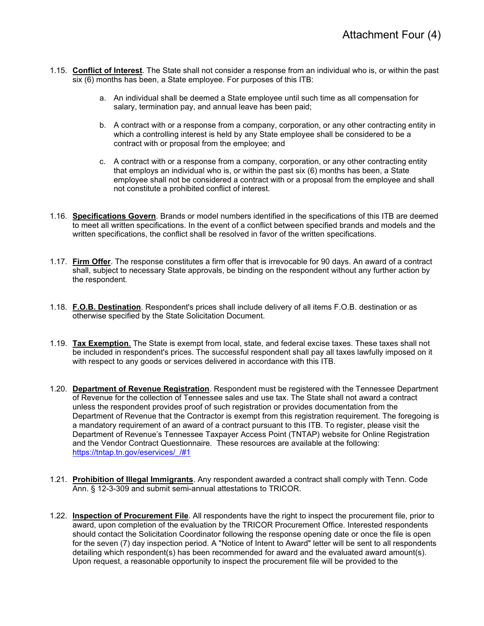- 1.15. **Conflict of Interest**. The State shall not consider a response from an individual who is, or within the past six (6) months has been, a State employee. For purposes of this ITB:
	- a. An individual shall be deemed a State employee until such time as all compensation for salary, termination pay, and annual leave has been paid;
	- b. A contract with or a response from a company, corporation, or any other contracting entity in which a controlling interest is held by any State employee shall be considered to be a contract with or proposal from the employee; and
	- c. A contract with or a response from a company, corporation, or any other contracting entity that employs an individual who is, or within the past six (6) months has been, a State employee shall not be considered a contract with or a proposal from the employee and shall not constitute a prohibited conflict of interest.
- 1.16. **Specifications Govern**. Brands or model numbers identified in the specifications of this ITB are deemed to meet all written specifications. In the event of a conflict between specified brands and models and the written specifications, the conflict shall be resolved in favor of the written specifications.
- 1.17. **Firm Offer**. The response constitutes a firm offer that is irrevocable for 90 days. An award of a contract shall, subject to necessary State approvals, be binding on the respondent without any further action by the respondent.
- 1.18. **F.O.B. Destination**. Respondent's prices shall include delivery of all items F.O.B. destination or as otherwise specified by the State Solicitation Document.
- 1.19. **Tax Exemption**. The State is exempt from local, state, and federal excise taxes. These taxes shall not be included in respondent's prices. The successful respondent shall pay all taxes lawfully imposed on it with respect to any goods or services delivered in accordance with this ITB.
- 1.20. **Department of Revenue Registration**. Respondent must be registered with the Tennessee Department of Revenue for the collection of Tennessee sales and use tax. The State shall not award a contract unless the respondent provides proof of such registration or provides documentation from the Department of Revenue that the Contractor is exempt from this registration requirement. The foregoing is a mandatory requirement of an award of a contract pursuant to this ITB. To register, please visit the Department of Revenue's Tennessee Taxpayer Access Point (TNTAP) website for Online Registration and the Vendor Contract Questionnaire. These resources are available at the following: [https://tntap.tn.gov/eservices/\\_/#1](https://tntap.tn.gov/eservices/_/#1)
- 1.21. **Prohibition of Illegal Immigrants**. Any respondent awarded a contract shall comply with Tenn. Code Ann. § 12-3-309 and submit semi-annual attestations to TRICOR.
- 1.22. **Inspection of Procurement File**. All respondents have the right to inspect the procurement file, prior to award, upon completion of the evaluation by the TRICOR Procurement Office. Interested respondents should contact the Solicitation Coordinator following the response opening date or once the file is open for the seven (7) day inspection period. A "Notice of Intent to Award" letter will be sent to all respondents detailing which respondent(s) has been recommended for award and the evaluated award amount(s). Upon request, a reasonable opportunity to inspect the procurement file will be provided to the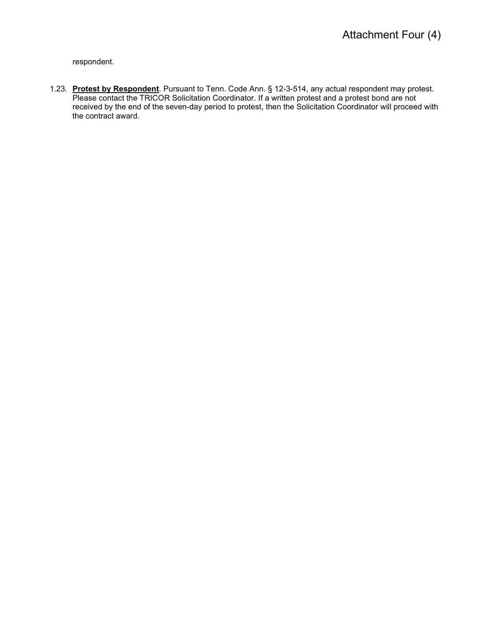respondent.

1.23. **Protest by Respondent**. Pursuant to Tenn. Code Ann. § 12-3-514, any actual respondent may protest. Please contact the TRICOR Solicitation Coordinator. If a written protest and a protest bond are not received by the end of the seven-day period to protest, then the Solicitation Coordinator will proceed with the contract award.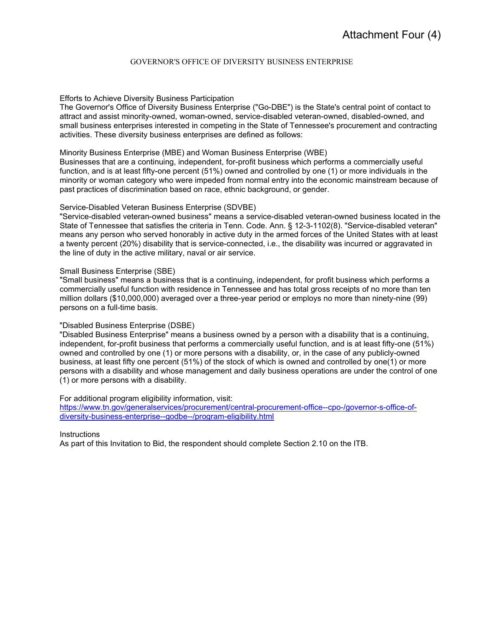#### GOVERNOR'S OFFICE OF DIVERSITY BUSINESS ENTERPRISE

#### Efforts to Achieve Diversity Business Participation

The Governor's Office of Diversity Business Enterprise ("Go-DBE") is the State's central point of contact to attract and assist minority-owned, woman-owned, service-disabled veteran-owned, disabled-owned, and small business enterprises interested in competing in the State of Tennessee's procurement and contracting activities. These diversity business enterprises are defined as follows:

#### Minority Business Enterprise (MBE) and Woman Business Enterprise (WBE)

Businesses that are a continuing, independent, for-profit business which performs a commercially useful function, and is at least fifty-one percent (51%) owned and controlled by one (1) or more individuals in the minority or woman category who were impeded from normal entry into the economic mainstream because of past practices of discrimination based on race, ethnic background, or gender.

#### Service-Disabled Veteran Business Enterprise (SDVBE)

"Service-disabled veteran-owned business" means a service-disabled veteran-owned business located in the State of Tennessee that satisfies the criteria in Tenn. Code. Ann. § 12-3-1102(8). "Service-disabled veteran" means any person who served honorably in active duty in the armed forces of the United States with at least a twenty percent (20%) disability that is service-connected, i.e., the disability was incurred or aggravated in the line of duty in the active military, naval or air service.

#### Small Business Enterprise (SBE)

"Small business" means a business that is a continuing, independent, for profit business which performs a commercially useful function with residence in Tennessee and has total gross receipts of no more than ten million dollars (\$10,000,000) averaged over a three-year period or employs no more than ninety-nine (99) persons on a full-time basis.

#### "Disabled Business Enterprise (DSBE)

"Disabled Business Enterprise" means a business owned by a person with a disability that is a continuing, independent, for-profit business that performs a commercially useful function, and is at least fifty-one (51%) owned and controlled by one (1) or more persons with a disability, or, in the case of any publicly-owned business, at least fifty one percent (51%) of the stock of which is owned and controlled by one(1) or more persons with a disability and whose management and daily business operations are under the control of one (1) or more persons with a disability.

For additional program eligibility information, visit:

[https://www.tn.gov/generalservices/procurement/central-procurement-office--cpo-/governor-s-office-of](https://www.tn.gov/generalservices/procurement/central-procurement-office--cpo-/governor-s-office-of-diversity-business-enterprise--godbe--/program-eligibility.html)[diversity-business-enterprise--godbe--/program-eligibility.html](https://www.tn.gov/generalservices/procurement/central-procurement-office--cpo-/governor-s-office-of-diversity-business-enterprise--godbe--/program-eligibility.html) 

**Instructions** 

As part of this Invitation to Bid, the respondent should complete Section 2.10 on the ITB.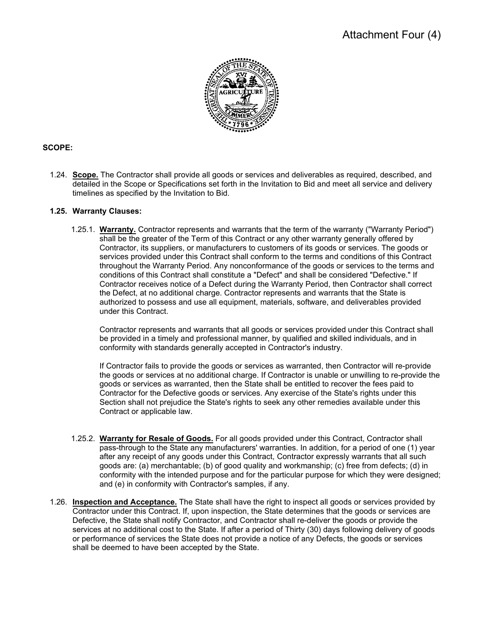

## **SCOPE:**

1.24. **Scope.** The Contractor shall provide all goods or services and deliverables as required, described, and detailed in the Scope or Specifications set forth in the Invitation to Bid and meet all service and delivery timelines as specified by the Invitation to Bid.

#### **1.25. Warranty Clauses:**

1.25.1. **Warranty.** Contractor represents and warrants that the term of the warranty ("Warranty Period") shall be the greater of the Term of this Contract or any other warranty generally offered by Contractor, its suppliers, or manufacturers to customers of its goods or services. The goods or services provided under this Contract shall conform to the terms and conditions of this Contract throughout the Warranty Period. Any nonconformance of the goods or services to the terms and conditions of this Contract shall constitute a "Defect" and shall be considered "Defective." If Contractor receives notice of a Defect during the Warranty Period, then Contractor shall correct the Defect, at no additional charge. Contractor represents and warrants that the State is authorized to possess and use all equipment, materials, software, and deliverables provided under this Contract.

Contractor represents and warrants that all goods or services provided under this Contract shall be provided in a timely and professional manner, by qualified and skilled individuals, and in conformity with standards generally accepted in Contractor's industry.

If Contractor fails to provide the goods or services as warranted, then Contractor will re-provide the goods or services at no additional charge. If Contractor is unable or unwilling to re-provide the goods or services as warranted, then the State shall be entitled to recover the fees paid to Contractor for the Defective goods or services. Any exercise of the State's rights under this Section shall not prejudice the State's rights to seek any other remedies available under this Contract or applicable law.

- 1.25.2. **Warranty for Resale of Goods.** For all goods provided under this Contract, Contractor shall pass-through to the State any manufacturers' warranties. In addition, for a period of one (1) year after any receipt of any goods under this Contract, Contractor expressly warrants that all such goods are: (a) merchantable; (b) of good quality and workmanship; (c) free from defects; (d) in conformity with the intended purpose and for the particular purpose for which they were designed; and (e) in conformity with Contractor's samples, if any.
- 1.26. **Inspection and Acceptance.** The State shall have the right to inspect all goods or services provided by Contractor under this Contract. If, upon inspection, the State determines that the goods or services are Defective, the State shall notify Contractor, and Contractor shall re-deliver the goods or provide the services at no additional cost to the State. If after a period of Thirty (30) days following delivery of goods or performance of services the State does not provide a notice of any Defects, the goods or services shall be deemed to have been accepted by the State.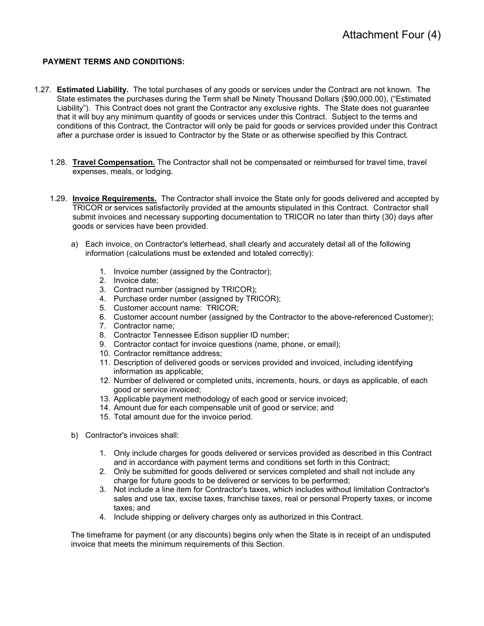#### **PAYMENT TERMS AND CONDITIONS:**

- 1.27. **Estimated Liability.** The total purchases of any goods or services under the Contract are not known. The State estimates the purchases during the Term shall be Ninety Thousand Dollars (\$90,000.00), ("Estimated Liability"). This Contract does not grant the Contractor any exclusive rights. The State does not guarantee that it will buy any minimum quantity of goods or services under this Contract. Subject to the terms and conditions of this Contract, the Contractor will only be paid for goods or services provided under this Contract after a purchase order is issued to Contractor by the State or as otherwise specified by this Contract.
	- 1.28. **Travel Compensation.** The Contractor shall not be compensated or reimbursed for travel time, travel expenses, meals, or lodging.
	- 1.29. **Invoice Requirements.** The Contractor shall invoice the State only for goods delivered and accepted by TRICOR or services satisfactorily provided at the amounts stipulated in this Contract. Contractor shall submit invoices and necessary supporting documentation to TRICOR no later than thirty (30) days after goods or services have been provided.
		- a) Each invoice, on Contractor's letterhead, shall clearly and accurately detail all of the following information (calculations must be extended and totaled correctly):
			- 1. Invoice number (assigned by the Contractor);
			- 2. Invoice date;
			- 3. Contract number (assigned by TRICOR);
			- 4. Purchase order number (assigned by TRICOR);
			- 5. Customer account name: TRICOR;
			- 6. Customer account number (assigned by the Contractor to the above-referenced Customer);
			- 7. Contractor name;
			- 8. Contractor Tennessee Edison supplier ID number;
			- 9. Contractor contact for invoice questions (name, phone, or email);
			- 10. Contractor remittance address;
			- 11. Description of delivered goods or services provided and invoiced, including identifying information as applicable;
			- 12. Number of delivered or completed units, increments, hours, or days as applicable, of each good or service invoiced;
			- 13. Applicable payment methodology of each good or service invoiced;
			- 14. Amount due for each compensable unit of good or service; and
			- 15. Total amount due for the invoice period.
		- b) Contractor's invoices shall:
			- 1. Only include charges for goods delivered or services provided as described in this Contract and in accordance with payment terms and conditions set forth in this Contract;
			- 2. Only be submitted for goods delivered or services completed and shall not include any charge for future goods to be delivered or services to be performed;
			- 3. Not include a line item for Contractor's taxes, which includes without limitation Contractor's sales and use tax, excise taxes, franchise taxes, real or personal Property taxes, or income taxes; and
			- 4. Include shipping or delivery charges only as authorized in this Contract.

The timeframe for payment (or any discounts) begins only when the State is in receipt of an undisputed invoice that meets the minimum requirements of this Section.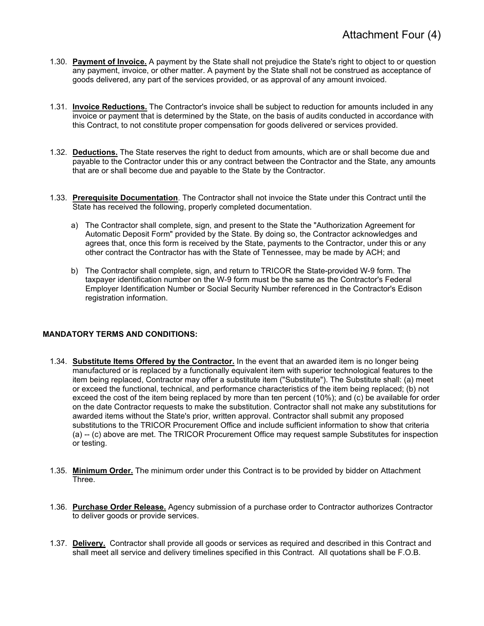- 1.30. **Payment of Invoice.** A payment by the State shall not prejudice the State's right to object to or question any payment, invoice, or other matter. A payment by the State shall not be construed as acceptance of goods delivered, any part of the services provided, or as approval of any amount invoiced.
- 1.31. **Invoice Reductions.** The Contractor's invoice shall be subject to reduction for amounts included in any invoice or payment that is determined by the State, on the basis of audits conducted in accordance with this Contract, to not constitute proper compensation for goods delivered or services provided.
- 1.32. **Deductions.** The State reserves the right to deduct from amounts, which are or shall become due and payable to the Contractor under this or any contract between the Contractor and the State, any amounts that are or shall become due and payable to the State by the Contractor.
- 1.33. **Prerequisite Documentation**. The Contractor shall not invoice the State under this Contract until the State has received the following, properly completed documentation.
	- a) The Contractor shall complete, sign, and present to the State the "Authorization Agreement for Automatic Deposit Form" provided by the State. By doing so, the Contractor acknowledges and agrees that, once this form is received by the State, payments to the Contractor, under this or any other contract the Contractor has with the State of Tennessee, may be made by ACH; and
	- b) The Contractor shall complete, sign, and return to TRICOR the State-provided W-9 form. The taxpayer identification number on the W-9 form must be the same as the Contractor's Federal Employer Identification Number or Social Security Number referenced in the Contractor's Edison registration information.

#### **MANDATORY TERMS AND CONDITIONS:**

- 1.34. **Substitute Items Offered by the Contractor.** In the event that an awarded item is no longer being manufactured or is replaced by a functionally equivalent item with superior technological features to the item being replaced, Contractor may offer a substitute item ("Substitute"). The Substitute shall: (a) meet or exceed the functional, technical, and performance characteristics of the item being replaced; (b) not exceed the cost of the item being replaced by more than ten percent (10%); and (c) be available for order on the date Contractor requests to make the substitution. Contractor shall not make any substitutions for awarded items without the State's prior, written approval. Contractor shall submit any proposed substitutions to the TRICOR Procurement Office and include sufficient information to show that criteria (a) -- (c) above are met. The TRICOR Procurement Office may request sample Substitutes for inspection or testing.
- 1.35. **Minimum Order.** The minimum order under this Contract is to be provided by bidder on Attachment Three.
- 1.36. **Purchase Order Release.** Agency submission of a purchase order to Contractor authorizes Contractor to deliver goods or provide services.
- 1.37. **Delivery.** Contractor shall provide all goods or services as required and described in this Contract and shall meet all service and delivery timelines specified in this Contract. All quotations shall be F.O.B.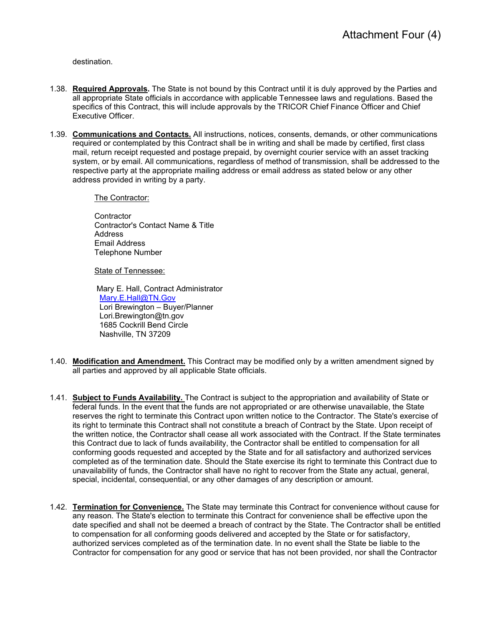destination.

- 1.38. **Required Approvals.** The State is not bound by this Contract until it is duly approved by the Parties and all appropriate State officials in accordance with applicable Tennessee laws and regulations. Based the specifics of this Contract, this will include approvals by the TRICOR Chief Finance Officer and Chief Executive Officer.
- 1.39. **Communications and Contacts.** All instructions, notices, consents, demands, or other communications required or contemplated by this Contract shall be in writing and shall be made by certified, first class mail, return receipt requested and postage prepaid, by overnight courier service with an asset tracking system, or by email. All communications, regardless of method of transmission, shall be addressed to the respective party at the appropriate mailing address or email address as stated below or any other address provided in writing by a party.

The Contractor:

**Contractor**  Contractor's Contact Name & Title **Address**  Email Address Telephone Number

State of Tennessee:

 Mary E. Hall, Contract Administrator [Mary.E.Hall@TN.Gov](mailto:Mary.E.Hall@TN.Gov) Lori Brewington – Buyer/Planner Lori.Brewington@tn.gov 1685 Cockrill Bend Circle Nashville, TN 37209

- 1.40. **Modification and Amendment.** This Contract may be modified only by a written amendment signed by all parties and approved by all applicable State officials.
- 1.41. **Subject to Funds Availability.** The Contract is subject to the appropriation and availability of State or federal funds. In the event that the funds are not appropriated or are otherwise unavailable, the State reserves the right to terminate this Contract upon written notice to the Contractor. The State's exercise of its right to terminate this Contract shall not constitute a breach of Contract by the State. Upon receipt of the written notice, the Contractor shall cease all work associated with the Contract. If the State terminates this Contract due to lack of funds availability, the Contractor shall be entitled to compensation for all conforming goods requested and accepted by the State and for all satisfactory and authorized services completed as of the termination date. Should the State exercise its right to terminate this Contract due to unavailability of funds, the Contractor shall have no right to recover from the State any actual, general, special, incidental, consequential, or any other damages of any description or amount.
- 1.42. **Termination for Convenience.** The State may terminate this Contract for convenience without cause for any reason. The State's election to terminate this Contract for convenience shall be effective upon the date specified and shall not be deemed a breach of contract by the State. The Contractor shall be entitled to compensation for all conforming goods delivered and accepted by the State or for satisfactory, authorized services completed as of the termination date. In no event shall the State be liable to the Contractor for compensation for any good or service that has not been provided, nor shall the Contractor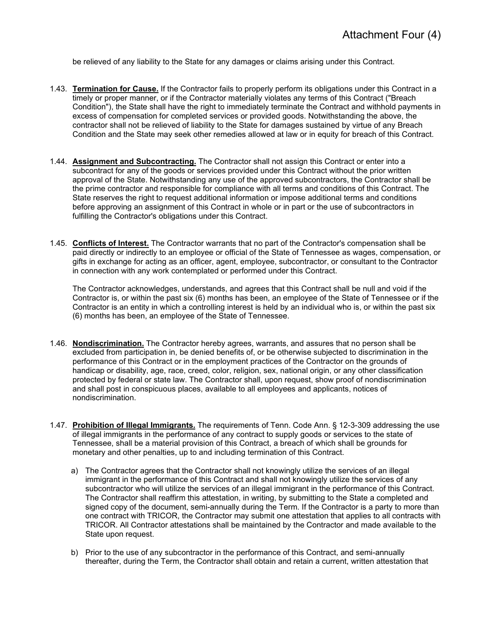be relieved of any liability to the State for any damages or claims arising under this Contract.

- 1.43. **Termination for Cause.** If the Contractor fails to properly perform its obligations under this Contract in a timely or proper manner, or if the Contractor materially violates any terms of this Contract ("Breach Condition"), the State shall have the right to immediately terminate the Contract and withhold payments in excess of compensation for completed services or provided goods. Notwithstanding the above, the contractor shall not be relieved of liability to the State for damages sustained by virtue of any Breach Condition and the State may seek other remedies allowed at law or in equity for breach of this Contract.
- 1.44. **Assignment and Subcontracting.** The Contractor shall not assign this Contract or enter into a subcontract for any of the goods or services provided under this Contract without the prior written approval of the State. Notwithstanding any use of the approved subcontractors, the Contractor shall be the prime contractor and responsible for compliance with all terms and conditions of this Contract. The State reserves the right to request additional information or impose additional terms and conditions before approving an assignment of this Contract in whole or in part or the use of subcontractors in fulfilling the Contractor's obligations under this Contract.
- 1.45. **Conflicts of Interest.** The Contractor warrants that no part of the Contractor's compensation shall be paid directly or indirectly to an employee or official of the State of Tennessee as wages, compensation, or gifts in exchange for acting as an officer, agent, employee, subcontractor, or consultant to the Contractor in connection with any work contemplated or performed under this Contract.

The Contractor acknowledges, understands, and agrees that this Contract shall be null and void if the Contractor is, or within the past six (6) months has been, an employee of the State of Tennessee or if the Contractor is an entity in which a controlling interest is held by an individual who is, or within the past six (6) months has been, an employee of the State of Tennessee.

- 1.46. **Nondiscrimination.** The Contractor hereby agrees, warrants, and assures that no person shall be excluded from participation in, be denied benefits of, or be otherwise subjected to discrimination in the performance of this Contract or in the employment practices of the Contractor on the grounds of handicap or disability, age, race, creed, color, religion, sex, national origin, or any other classification protected by federal or state law. The Contractor shall, upon request, show proof of nondiscrimination and shall post in conspicuous places, available to all employees and applicants, notices of nondiscrimination.
- 1.47. **Prohibition of Illegal Immigrants.** The requirements of Tenn. Code Ann. § 12-3-309 addressing the use of illegal immigrants in the performance of any contract to supply goods or services to the state of Tennessee, shall be a material provision of this Contract, a breach of which shall be grounds for monetary and other penalties, up to and including termination of this Contract.
	- a) The Contractor agrees that the Contractor shall not knowingly utilize the services of an illegal immigrant in the performance of this Contract and shall not knowingly utilize the services of any subcontractor who will utilize the services of an illegal immigrant in the performance of this Contract. The Contractor shall reaffirm this attestation, in writing, by submitting to the State a completed and signed copy of the document, semi-annually during the Term. If the Contractor is a party to more than one contract with TRICOR, the Contractor may submit one attestation that applies to all contracts with TRICOR. All Contractor attestations shall be maintained by the Contractor and made available to the State upon request.
	- b) Prior to the use of any subcontractor in the performance of this Contract, and semi-annually thereafter, during the Term, the Contractor shall obtain and retain a current, written attestation that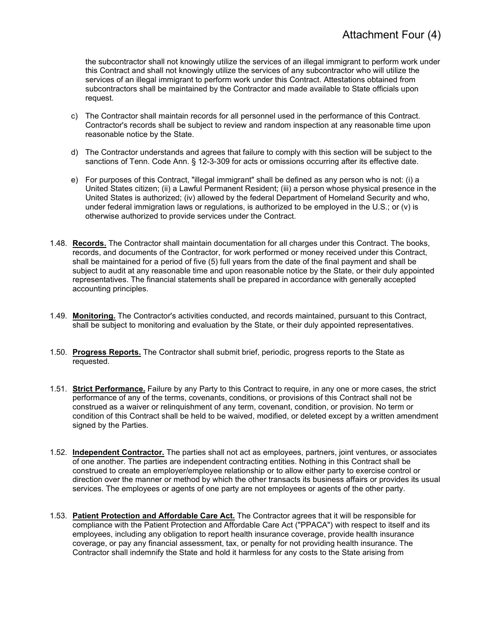the subcontractor shall not knowingly utilize the services of an illegal immigrant to perform work under this Contract and shall not knowingly utilize the services of any subcontractor who will utilize the services of an illegal immigrant to perform work under this Contract. Attestations obtained from subcontractors shall be maintained by the Contractor and made available to State officials upon request.

- c) The Contractor shall maintain records for all personnel used in the performance of this Contract. Contractor's records shall be subject to review and random inspection at any reasonable time upon reasonable notice by the State.
- d) The Contractor understands and agrees that failure to comply with this section will be subject to the sanctions of Tenn. Code Ann. § 12-3-309 for acts or omissions occurring after its effective date.
- e) For purposes of this Contract, "illegal immigrant" shall be defined as any person who is not: (i) a United States citizen; (ii) a Lawful Permanent Resident; (iii) a person whose physical presence in the United States is authorized; (iv) allowed by the federal Department of Homeland Security and who, under federal immigration laws or regulations, is authorized to be employed in the U.S.; or (v) is otherwise authorized to provide services under the Contract.
- 1.48. **Records.** The Contractor shall maintain documentation for all charges under this Contract. The books, records, and documents of the Contractor, for work performed or money received under this Contract, shall be maintained for a period of five (5) full years from the date of the final payment and shall be subject to audit at any reasonable time and upon reasonable notice by the State, or their duly appointed representatives. The financial statements shall be prepared in accordance with generally accepted accounting principles.
- 1.49. **Monitoring.** The Contractor's activities conducted, and records maintained, pursuant to this Contract, shall be subject to monitoring and evaluation by the State, or their duly appointed representatives.
- 1.50. **Progress Reports.** The Contractor shall submit brief, periodic, progress reports to the State as requested.
- 1.51. **Strict Performance.** Failure by any Party to this Contract to require, in any one or more cases, the strict performance of any of the terms, covenants, conditions, or provisions of this Contract shall not be construed as a waiver or relinquishment of any term, covenant, condition, or provision. No term or condition of this Contract shall be held to be waived, modified, or deleted except by a written amendment signed by the Parties.
- 1.52. **Independent Contractor.** The parties shall not act as employees, partners, joint ventures, or associates of one another. The parties are independent contracting entities. Nothing in this Contract shall be construed to create an employer/employee relationship or to allow either party to exercise control or direction over the manner or method by which the other transacts its business affairs or provides its usual services. The employees or agents of one party are not employees or agents of the other party.
- 1.53. **Patient Protection and Affordable Care Act.** The Contractor agrees that it will be responsible for compliance with the Patient Protection and Affordable Care Act ("PPACA") with respect to itself and its employees, including any obligation to report health insurance coverage, provide health insurance coverage, or pay any financial assessment, tax, or penalty for not providing health insurance. The Contractor shall indemnify the State and hold it harmless for any costs to the State arising from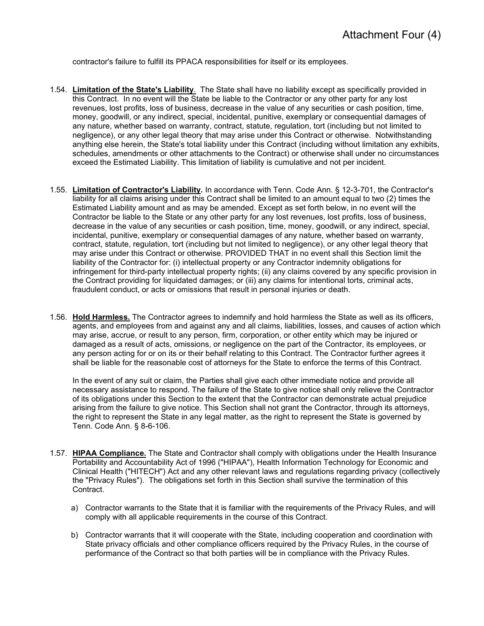contractor's failure to fulfill its PPACA responsibilities for itself or its employees.

- 1.54. **Limitation of the State's Liability**. The State shall have no liability except as specifically provided in this Contract. In no event will the State be liable to the Contractor or any other party for any lost revenues, lost profits, loss of business, decrease in the value of any securities or cash position, time, money, goodwill, or any indirect, special, incidental, punitive, exemplary or consequential damages of any nature, whether based on warranty, contract, statute, regulation, tort (including but not limited to negligence), or any other legal theory that may arise under this Contract or otherwise. Notwithstanding anything else herein, the State's total liability under this Contract (including without limitation any exhibits, schedules, amendments or other attachments to the Contract) or otherwise shall under no circumstances exceed the Estimated Liability. This limitation of liability is cumulative and not per incident.
- 1.55. **Limitation of Contractor's Liability.** In accordance with Tenn. Code Ann. § 12-3-701, the Contractor's liability for all claims arising under this Contract shall be limited to an amount equal to two (2) times the Estimated Liability amount and as may be amended. Except as set forth below, in no event will the Contractor be liable to the State or any other party for any lost revenues, lost profits, loss of business, decrease in the value of any securities or cash position, time, money, goodwill, or any indirect, special, incidental, punitive, exemplary or consequential damages of any nature, whether based on warranty, contract, statute, regulation, tort (including but not limited to negligence), or any other legal theory that may arise under this Contract or otherwise. PROVIDED THAT in no event shall this Section limit the liability of the Contractor for: (i) intellectual property or any Contractor indemnity obligations for infringement for third-party intellectual property rights; (ii) any claims covered by any specific provision in the Contract providing for liquidated damages; or (iii) any claims for intentional torts, criminal acts, fraudulent conduct, or acts or omissions that result in personal injuries or death.
- 1.56. **Hold Harmless.** The Contractor agrees to indemnify and hold harmless the State as well as its officers, agents, and employees from and against any and all claims, liabilities, losses, and causes of action which may arise, accrue, or result to any person, firm, corporation, or other entity which may be injured or damaged as a result of acts, omissions, or negligence on the part of the Contractor, its employees, or any person acting for or on its or their behalf relating to this Contract. The Contractor further agrees it shall be liable for the reasonable cost of attorneys for the State to enforce the terms of this Contract.

In the event of any suit or claim, the Parties shall give each other immediate notice and provide all necessary assistance to respond. The failure of the State to give notice shall only relieve the Contractor of its obligations under this Section to the extent that the Contractor can demonstrate actual prejudice arising from the failure to give notice. This Section shall not grant the Contractor, through its attorneys, the right to represent the State in any legal matter, as the right to represent the State is governed by Tenn. Code Ann. § 8-6-106.

- 1.57. **HIPAA Compliance.** The State and Contractor shall comply with obligations under the Health Insurance Portability and Accountability Act of 1996 ("HIPAA"), Health Information Technology for Economic and Clinical Health ("HITECH") Act and any other relevant laws and regulations regarding privacy (collectively the "Privacy Rules"). The obligations set forth in this Section shall survive the termination of this Contract.
	- a) Contractor warrants to the State that it is familiar with the requirements of the Privacy Rules, and will comply with all applicable requirements in the course of this Contract.
	- b) Contractor warrants that it will cooperate with the State, including cooperation and coordination with State privacy officials and other compliance officers required by the Privacy Rules, in the course of performance of the Contract so that both parties will be in compliance with the Privacy Rules.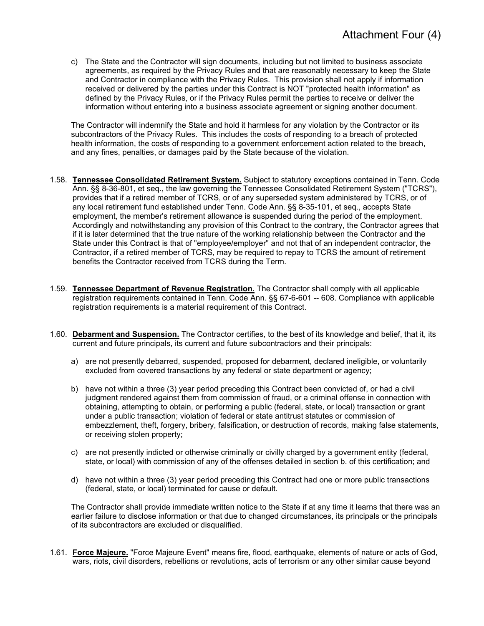c) The State and the Contractor will sign documents, including but not limited to business associate agreements, as required by the Privacy Rules and that are reasonably necessary to keep the State and Contractor in compliance with the Privacy Rules. This provision shall not apply if information received or delivered by the parties under this Contract is NOT "protected health information" as defined by the Privacy Rules, or if the Privacy Rules permit the parties to receive or deliver the information without entering into a business associate agreement or signing another document.

The Contractor will indemnify the State and hold it harmless for any violation by the Contractor or its subcontractors of the Privacy Rules. This includes the costs of responding to a breach of protected health information, the costs of responding to a government enforcement action related to the breach, and any fines, penalties, or damages paid by the State because of the violation.

- 1.58. **Tennessee Consolidated Retirement System.** Subject to statutory exceptions contained in Tenn. Code Ann. §§ 8-36-801, et seq., the law governing the Tennessee Consolidated Retirement System ("TCRS"), provides that if a retired member of TCRS, or of any superseded system administered by TCRS, or of any local retirement fund established under Tenn. Code Ann. §§ 8-35-101, et seq., accepts State employment, the member's retirement allowance is suspended during the period of the employment. Accordingly and notwithstanding any provision of this Contract to the contrary, the Contractor agrees that if it is later determined that the true nature of the working relationship between the Contractor and the State under this Contract is that of "employee/employer" and not that of an independent contractor, the Contractor, if a retired member of TCRS, may be required to repay to TCRS the amount of retirement benefits the Contractor received from TCRS during the Term.
- 1.59. **Tennessee Department of Revenue Registration.** The Contractor shall comply with all applicable registration requirements contained in Tenn. Code Ann. §§ 67-6-601 -- 608. Compliance with applicable registration requirements is a material requirement of this Contract.
- 1.60. **Debarment and Suspension.** The Contractor certifies, to the best of its knowledge and belief, that it, its current and future principals, its current and future subcontractors and their principals:
	- a) are not presently debarred, suspended, proposed for debarment, declared ineligible, or voluntarily excluded from covered transactions by any federal or state department or agency;
	- b) have not within a three (3) year period preceding this Contract been convicted of, or had a civil judgment rendered against them from commission of fraud, or a criminal offense in connection with obtaining, attempting to obtain, or performing a public (federal, state, or local) transaction or grant under a public transaction; violation of federal or state antitrust statutes or commission of embezzlement, theft, forgery, bribery, falsification, or destruction of records, making false statements, or receiving stolen property;
	- c) are not presently indicted or otherwise criminally or civilly charged by a government entity (federal, state, or local) with commission of any of the offenses detailed in section b. of this certification; and
	- d) have not within a three (3) year period preceding this Contract had one or more public transactions (federal, state, or local) terminated for cause or default.

The Contractor shall provide immediate written notice to the State if at any time it learns that there was an earlier failure to disclose information or that due to changed circumstances, its principals or the principals of its subcontractors are excluded or disqualified.

1.61. **Force Majeure.** "Force Majeure Event" means fire, flood, earthquake, elements of nature or acts of God, wars, riots, civil disorders, rebellions or revolutions, acts of terrorism or any other similar cause beyond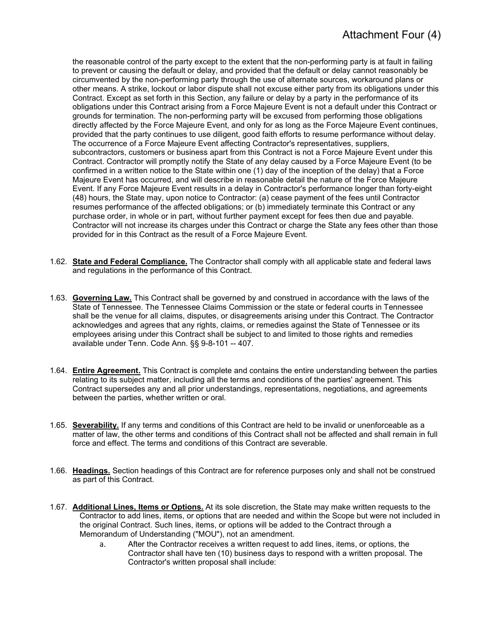the reasonable control of the party except to the extent that the non-performing party is at fault in failing to prevent or causing the default or delay, and provided that the default or delay cannot reasonably be circumvented by the non-performing party through the use of alternate sources, workaround plans or other means. A strike, lockout or labor dispute shall not excuse either party from its obligations under this Contract. Except as set forth in this Section, any failure or delay by a party in the performance of its obligations under this Contract arising from a Force Majeure Event is not a default under this Contract or grounds for termination. The non-performing party will be excused from performing those obligations directly affected by the Force Majeure Event, and only for as long as the Force Majeure Event continues, provided that the party continues to use diligent, good faith efforts to resume performance without delay. The occurrence of a Force Majeure Event affecting Contractor's representatives, suppliers, subcontractors, customers or business apart from this Contract is not a Force Majeure Event under this Contract. Contractor will promptly notify the State of any delay caused by a Force Majeure Event (to be confirmed in a written notice to the State within one (1) day of the inception of the delay) that a Force Majeure Event has occurred, and will describe in reasonable detail the nature of the Force Majeure Event. If any Force Majeure Event results in a delay in Contractor's performance longer than forty-eight (48) hours, the State may, upon notice to Contractor: (a) cease payment of the fees until Contractor resumes performance of the affected obligations; or (b) immediately terminate this Contract or any purchase order, in whole or in part, without further payment except for fees then due and payable. Contractor will not increase its charges under this Contract or charge the State any fees other than those provided for in this Contract as the result of a Force Majeure Event.

- 1.62. **State and Federal Compliance.** The Contractor shall comply with all applicable state and federal laws and regulations in the performance of this Contract.
- 1.63. **Governing Law.** This Contract shall be governed by and construed in accordance with the laws of the State of Tennessee. The Tennessee Claims Commission or the state or federal courts in Tennessee shall be the venue for all claims, disputes, or disagreements arising under this Contract. The Contractor acknowledges and agrees that any rights, claims, or remedies against the State of Tennessee or its employees arising under this Contract shall be subject to and limited to those rights and remedies available under Tenn. Code Ann. §§ 9-8-101 -- 407.
- 1.64. **Entire Agreement.** This Contract is complete and contains the entire understanding between the parties relating to its subject matter, including all the terms and conditions of the parties' agreement. This Contract supersedes any and all prior understandings, representations, negotiations, and agreements between the parties, whether written or oral.
- 1.65. **Severability.** If any terms and conditions of this Contract are held to be invalid or unenforceable as a matter of law, the other terms and conditions of this Contract shall not be affected and shall remain in full force and effect. The terms and conditions of this Contract are severable.
- 1.66. **Headings.** Section headings of this Contract are for reference purposes only and shall not be construed as part of this Contract.
- 1.67. **Additional Lines, Items or Options.** At its sole discretion, the State may make written requests to the Contractor to add lines, items, or options that are needed and within the Scope but were not included in the original Contract. Such lines, items, or options will be added to the Contract through a Memorandum of Understanding ("MOU"), not an amendment.
	- a. After the Contractor receives a written request to add lines, items, or options, the Contractor shall have ten (10) business days to respond with a written proposal. The Contractor's written proposal shall include: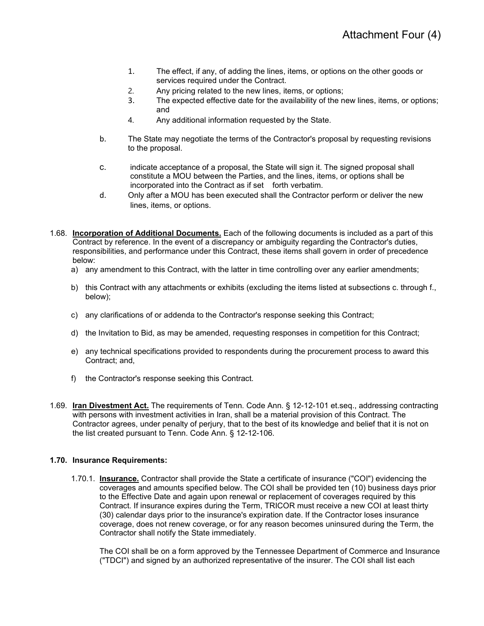- 1. The effect, if any, of adding the lines, items, or options on the other goods or services required under the Contract.
- 2. Any pricing related to the new lines, items, or options;
- 3. The expected effective date for the availability of the new lines, items, or options; and
- 4. Any additional information requested by the State.
- b. The State may negotiate the terms of the Contractor's proposal by requesting revisions to the proposal.
- c. indicate acceptance of a proposal, the State will sign it. The signed proposal shall constitute a MOU between the Parties, and the lines, items, or options shall be incorporated into the Contract as if set forth verbatim.
- d. Only after a MOU has been executed shall the Contractor perform or deliver the new lines, items, or options.
- 1.68. **Incorporation of Additional Documents.** Each of the following documents is included as a part of this Contract by reference. In the event of a discrepancy or ambiguity regarding the Contractor's duties, responsibilities, and performance under this Contract, these items shall govern in order of precedence below:
	- a) any amendment to this Contract, with the latter in time controlling over any earlier amendments;
	- b) this Contract with any attachments or exhibits (excluding the items listed at subsections c. through f., below);
	- c) any clarifications of or addenda to the Contractor's response seeking this Contract;
	- d) the Invitation to Bid, as may be amended, requesting responses in competition for this Contract;
	- e) any technical specifications provided to respondents during the procurement process to award this Contract; and,
	- f) the Contractor's response seeking this Contract.
- 1.69. **Iran Divestment Act.** The requirements of Tenn. Code Ann. § 12-12-101 et.seq., addressing contracting with persons with investment activities in Iran, shall be a material provision of this Contract. The Contractor agrees, under penalty of perjury, that to the best of its knowledge and belief that it is not on the list created pursuant to Tenn. Code Ann. § 12-12-106.

#### **1.70. Insurance Requirements:**

1.70.1. **Insurance.** Contractor shall provide the State a certificate of insurance ("COI") evidencing the coverages and amounts specified below. The COI shall be provided ten (10) business days prior to the Effective Date and again upon renewal or replacement of coverages required by this Contract. If insurance expires during the Term, TRICOR must receive a new COI at least thirty (30) calendar days prior to the insurance's expiration date. If the Contractor loses insurance coverage, does not renew coverage, or for any reason becomes uninsured during the Term, the Contractor shall notify the State immediately.

The COI shall be on a form approved by the Tennessee Department of Commerce and Insurance ("TDCI") and signed by an authorized representative of the insurer. The COI shall list each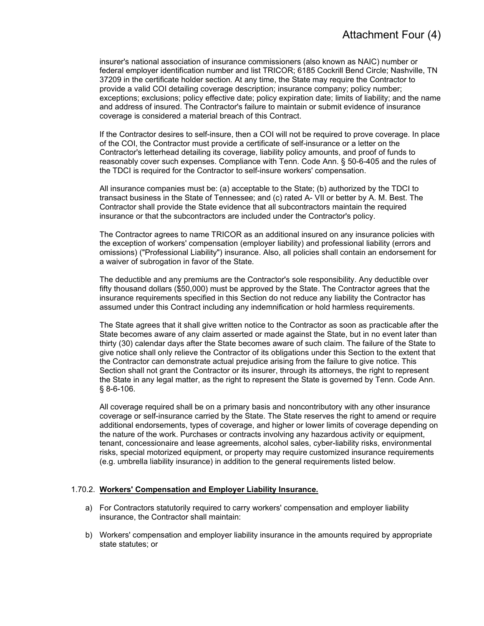insurer's national association of insurance commissioners (also known as NAIC) number or federal employer identification number and list TRICOR; 6185 Cockrill Bend Circle; Nashville, TN 37209 in the certificate holder section. At any time, the State may require the Contractor to provide a valid COI detailing coverage description; insurance company; policy number; exceptions; exclusions; policy effective date; policy expiration date; limits of liability; and the name and address of insured. The Contractor's failure to maintain or submit evidence of insurance coverage is considered a material breach of this Contract.

If the Contractor desires to self-insure, then a COI will not be required to prove coverage. In place of the COI, the Contractor must provide a certificate of self-insurance or a letter on the Contractor's letterhead detailing its coverage, liability policy amounts, and proof of funds to reasonably cover such expenses. Compliance with Tenn. Code Ann. § 50-6-405 and the rules of the TDCI is required for the Contractor to self-insure workers' compensation.

All insurance companies must be: (a) acceptable to the State; (b) authorized by the TDCI to transact business in the State of Tennessee; and (c) rated A- VII or better by A. M. Best. The Contractor shall provide the State evidence that all subcontractors maintain the required insurance or that the subcontractors are included under the Contractor's policy.

The Contractor agrees to name TRICOR as an additional insured on any insurance policies with the exception of workers' compensation (employer liability) and professional liability (errors and omissions) ("Professional Liability") insurance. Also, all policies shall contain an endorsement for a waiver of subrogation in favor of the State.

The deductible and any premiums are the Contractor's sole responsibility. Any deductible over fifty thousand dollars (\$50,000) must be approved by the State. The Contractor agrees that the insurance requirements specified in this Section do not reduce any liability the Contractor has assumed under this Contract including any indemnification or hold harmless requirements.

The State agrees that it shall give written notice to the Contractor as soon as practicable after the State becomes aware of any claim asserted or made against the State, but in no event later than thirty (30) calendar days after the State becomes aware of such claim. The failure of the State to give notice shall only relieve the Contractor of its obligations under this Section to the extent that the Contractor can demonstrate actual prejudice arising from the failure to give notice. This Section shall not grant the Contractor or its insurer, through its attorneys, the right to represent the State in any legal matter, as the right to represent the State is governed by Tenn. Code Ann. § 8-6-106.

All coverage required shall be on a primary basis and noncontributory with any other insurance coverage or self-insurance carried by the State. The State reserves the right to amend or require additional endorsements, types of coverage, and higher or lower limits of coverage depending on the nature of the work. Purchases or contracts involving any hazardous activity or equipment, tenant, concessionaire and lease agreements, alcohol sales, cyber-liability risks, environmental risks, special motorized equipment, or property may require customized insurance requirements (e.g. umbrella liability insurance) in addition to the general requirements listed below.

#### 1.70.2. **Workers' Compensation and Employer Liability Insurance.**

- a) For Contractors statutorily required to carry workers' compensation and employer liability insurance, the Contractor shall maintain:
- b) Workers' compensation and employer liability insurance in the amounts required by appropriate state statutes; or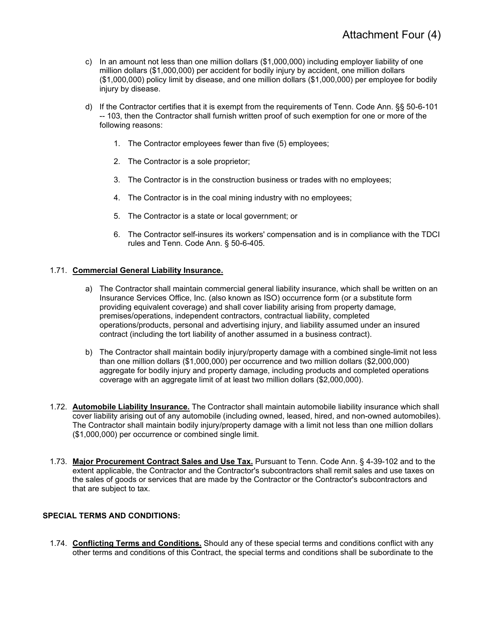- c) In an amount not less than one million dollars (\$1,000,000) including employer liability of one million dollars (\$1,000,000) per accident for bodily injury by accident, one million dollars (\$1,000,000) policy limit by disease, and one million dollars (\$1,000,000) per employee for bodily injury by disease.
- d) If the Contractor certifies that it is exempt from the requirements of Tenn. Code Ann. §§ 50-6-101 -- 103, then the Contractor shall furnish written proof of such exemption for one or more of the following reasons:
	- 1. The Contractor employees fewer than five (5) employees;
	- 2. The Contractor is a sole proprietor;
	- 3. The Contractor is in the construction business or trades with no employees;
	- 4. The Contractor is in the coal mining industry with no employees;
	- 5. The Contractor is a state or local government; or
	- 6. The Contractor self-insures its workers' compensation and is in compliance with the TDCI rules and Tenn. Code Ann. § 50-6-405.

#### 1.71. **Commercial General Liability Insurance.**

- a) The Contractor shall maintain commercial general liability insurance, which shall be written on an Insurance Services Office, Inc. (also known as ISO) occurrence form (or a substitute form providing equivalent coverage) and shall cover liability arising from property damage, premises/operations, independent contractors, contractual liability, completed operations/products, personal and advertising injury, and liability assumed under an insured contract (including the tort liability of another assumed in a business contract).
- b) The Contractor shall maintain bodily injury/property damage with a combined single-limit not less than one million dollars (\$1,000,000) per occurrence and two million dollars (\$2,000,000) aggregate for bodily injury and property damage, including products and completed operations coverage with an aggregate limit of at least two million dollars (\$2,000,000).
- 1.72. **Automobile Liability Insurance.** The Contractor shall maintain automobile liability insurance which shall cover liability arising out of any automobile (including owned, leased, hired, and non-owned automobiles). The Contractor shall maintain bodily injury/property damage with a limit not less than one million dollars (\$1,000,000) per occurrence or combined single limit.
- 1.73. **Major Procurement Contract Sales and Use Tax.** Pursuant to Tenn. Code Ann. § 4-39-102 and to the extent applicable, the Contractor and the Contractor's subcontractors shall remit sales and use taxes on the sales of goods or services that are made by the Contractor or the Contractor's subcontractors and that are subject to tax.

#### **SPECIAL TERMS AND CONDITIONS:**

1.74. **Conflicting Terms and Conditions.** Should any of these special terms and conditions conflict with any other terms and conditions of this Contract, the special terms and conditions shall be subordinate to the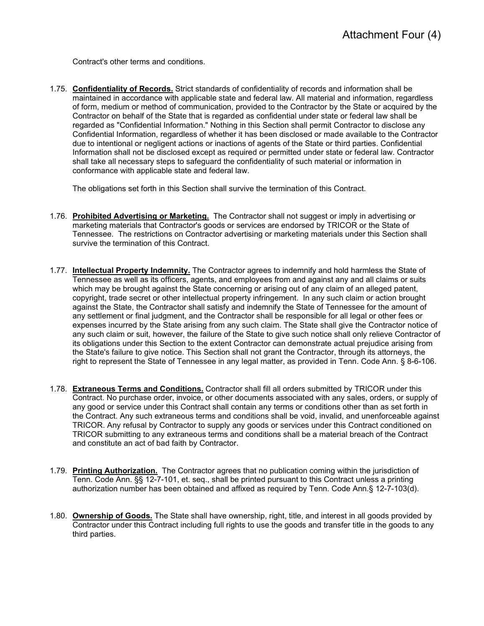Contract's other terms and conditions.

1.75. **Confidentiality of Records.** Strict standards of confidentiality of records and information shall be maintained in accordance with applicable state and federal law. All material and information, regardless of form, medium or method of communication, provided to the Contractor by the State or acquired by the Contractor on behalf of the State that is regarded as confidential under state or federal law shall be regarded as "Confidential Information." Nothing in this Section shall permit Contractor to disclose any Confidential Information, regardless of whether it has been disclosed or made available to the Contractor due to intentional or negligent actions or inactions of agents of the State or third parties. Confidential Information shall not be disclosed except as required or permitted under state or federal law. Contractor shall take all necessary steps to safeguard the confidentiality of such material or information in conformance with applicable state and federal law.

The obligations set forth in this Section shall survive the termination of this Contract.

- 1.76. **Prohibited Advertising or Marketing.** The Contractor shall not suggest or imply in advertising or marketing materials that Contractor's goods or services are endorsed by TRICOR or the State of Tennessee. The restrictions on Contractor advertising or marketing materials under this Section shall survive the termination of this Contract.
- 1.77. **Intellectual Property Indemnity.** The Contractor agrees to indemnify and hold harmless the State of Tennessee as well as its officers, agents, and employees from and against any and all claims or suits which may be brought against the State concerning or arising out of any claim of an alleged patent, copyright, trade secret or other intellectual property infringement. In any such claim or action brought against the State, the Contractor shall satisfy and indemnify the State of Tennessee for the amount of any settlement or final judgment, and the Contractor shall be responsible for all legal or other fees or expenses incurred by the State arising from any such claim. The State shall give the Contractor notice of any such claim or suit, however, the failure of the State to give such notice shall only relieve Contractor of its obligations under this Section to the extent Contractor can demonstrate actual prejudice arising from the State's failure to give notice. This Section shall not grant the Contractor, through its attorneys, the right to represent the State of Tennessee in any legal matter, as provided in Tenn. Code Ann. § 8-6-106.
- 1.78. **Extraneous Terms and Conditions.** Contractor shall fill all orders submitted by TRICOR under this Contract. No purchase order, invoice, or other documents associated with any sales, orders, or supply of any good or service under this Contract shall contain any terms or conditions other than as set forth in the Contract. Any such extraneous terms and conditions shall be void, invalid, and unenforceable against TRICOR. Any refusal by Contractor to supply any goods or services under this Contract conditioned on TRICOR submitting to any extraneous terms and conditions shall be a material breach of the Contract and constitute an act of bad faith by Contractor.
- 1.79. **Printing Authorization.** The Contractor agrees that no publication coming within the jurisdiction of Tenn. Code Ann. §§ 12-7-101, et. seq., shall be printed pursuant to this Contract unless a printing authorization number has been obtained and affixed as required by Tenn. Code Ann.§ 12-7-103(d).
- 1.80. **Ownership of Goods.** The State shall have ownership, right, title, and interest in all goods provided by Contractor under this Contract including full rights to use the goods and transfer title in the goods to any third parties.